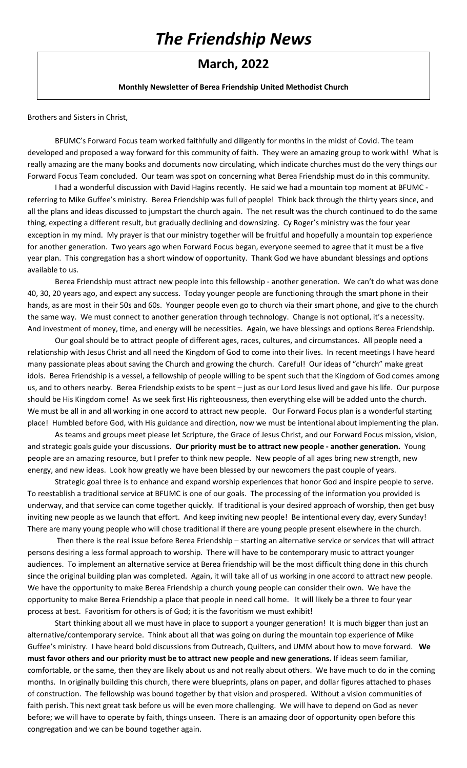# *The Friendship News*

### **March, 2022**

#### **Monthly Newsletter of Berea Friendship United Methodist Church**

Brothers and Sisters in Christ,

BFUMC's Forward Focus team worked faithfully and diligently for months in the midst of Covid. The team developed and proposed a way forward for this community of faith. They were an amazing group to work with! What is really amazing are the many books and documents now circulating, which indicate churches must do the very things our Forward Focus Team concluded. Our team was spot on concerning what Berea Friendship must do in this community.

I had a wonderful discussion with David Hagins recently. He said we had a mountain top moment at BFUMC referring to Mike Guffee's ministry. Berea Friendship was full of people! Think back through the thirty years since, and all the plans and ideas discussed to jumpstart the church again. The net result was the church continued to do the same thing, expecting a different result, but gradually declining and downsizing. Cy Roger's ministry was the four year exception in my mind. My prayer is that our ministry together will be fruitful and hopefully a mountain top experience for another generation. Two years ago when Forward Focus began, everyone seemed to agree that it must be a five year plan. This congregation has a short window of opportunity. Thank God we have abundant blessings and options available to us.

Berea Friendship must attract new people into this fellowship - another generation. We can't do what was done 40, 30, 20 years ago, and expect any success. Today younger people are functioning through the smart phone in their hands, as are most in their 50s and 60s. Younger people even go to church via their smart phone, and give to the church the same way. We must connect to another generation through technology. Change is not optional, it's a necessity. And investment of money, time, and energy will be necessities. Again, we have blessings and options Berea Friendship.

Our goal should be to attract people of different ages, races, cultures, and circumstances. All people need a relationship with Jesus Christ and all need the Kingdom of God to come into their lives. In recent meetings I have heard many passionate pleas about saving the Church and growing the church. Careful! Our ideas of "church" make great idols. Berea Friendship is a vessel, a fellowship of people willing to be spent such that the Kingdom of God comes among us, and to others nearby. Berea Friendship exists to be spent – just as our Lord Jesus lived and gave his life. Our purpose should be His Kingdom come! As we seek first His righteousness, then everything else will be added unto the church. We must be all in and all working in one accord to attract new people. Our Forward Focus plan is a wonderful starting place! Humbled before God, with His guidance and direction, now we must be intentional about implementing the plan.

As teams and groups meet please let Scripture, the Grace of Jesus Christ, and our Forward Focus mission, vision, and strategic goals guide your discussions. **Our priority must be to attract new people - another generation.** Young people are an amazing resource, but I prefer to think new people. New people of all ages bring new strength, new energy, and new ideas. Look how greatly we have been blessed by our newcomers the past couple of years.

Strategic goal three is to enhance and expand worship experiences that honor God and inspire people to serve. To reestablish a traditional service at BFUMC is one of our goals. The processing of the information you provided is underway, and that service can come together quickly. If traditional is your desired approach of worship, then get busy inviting new people as we launch that effort. And keep inviting new people! Be intentional every day, every Sunday! There are many young people who will chose traditional if there are young people present elsewhere in the church.

Then there is the real issue before Berea Friendship – starting an alternative service or services that will attract persons desiring a less formal approach to worship. There will have to be contemporary music to attract younger audiences. To implement an alternative service at Berea friendship will be the most difficult thing done in this church since the original building plan was completed. Again, it will take all of us working in one accord to attract new people. We have the opportunity to make Berea Friendship a church young people can consider their own. We have the opportunity to make Berea Friendship a place that people in need call home. It will likely be a three to four year process at best. Favoritism for others is of God; it is the favoritism we must exhibit!

Start thinking about all we must have in place to support a younger generation! It is much bigger than just an alternative/contemporary service. Think about all that was going on during the mountain top experience of Mike Guffee's ministry. I have heard bold discussions from Outreach, Quilters, and UMM about how to move forward. **We must favor others and our priority must be to attract new people and new generations.** If ideas seem familiar, comfortable, or the same, then they are likely about us and not really about others. We have much to do in the coming months. In originally building this church, there were blueprints, plans on paper, and dollar figures attached to phases of construction. The fellowship was bound together by that vision and prospered. Without a vision communities of faith perish. This next great task before us will be even more challenging. We will have to depend on God as never before; we will have to operate by faith, things unseen. There is an amazing door of opportunity open before this congregation and we can be bound together again.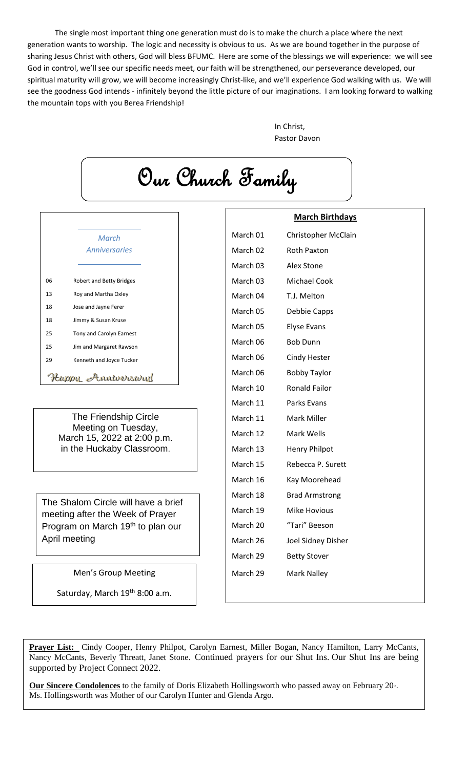The single most important thing one generation must do is to make the church a place where the next generation wants to worship. The logic and necessity is obvious to us. As we are bound together in the purpose of sharing Jesus Christ with others, God will bless BFUMC. Here are some of the blessings we will experience: we will see God in control, we'll see our specific needs meet, our faith will be strengthened, our perseverance developed, our spiritual maturity will grow, we will become increasingly Christ-like, and we'll experience God walking with us. We will see the goodness God intends - infinitely beyond the little picture of our imaginations. I am looking forward to walking the mountain tops with you Berea Friendship!

> In Christ, Pastor Davon

Our Church Family **March Birthdays** March 01 Christopher McClain *March Anniversaries* March 02 Roth Paxton March 03 Alex Stone March 03 Michael Cook 06 Robert and Betty Bridges 13 Roy and Martha Oxley March 04 T.J. Melton 18 Jose and Jayne Ferer March 05 Debbie Capps 18 Jimmy & Susan Kruse March 05 Elyse Evans 25 Tony and Carolyn Earnest March 06 Bob Dunn 25 Jim and Margaret Rawson March 06 Cindy Hester 29 Kenneth and Joyce Tucker March 06 Bobby Taylor Happy Anniversary March 10 Ronald Failor March 11 Parks Evans The Friendship Circle March 11 Mark Miller Meeting on Tuesday, March 12 Mark Wells March 15, 2022 at 2:00 p.m. in the Huckaby Classroom. March 13 Henry Philpot March 15 Rebecca P. Surett March 16 Kay Moorehead March 18 Brad Armstrong The Shalom Circle will have a brief March 19 Mike Hovious meeting after the Week of Prayer March 20 "Tari" Beeson Program on March 19<sup>th</sup> to plan our April meeting March 26 Joel Sidney Disher March 29 Betty Stover Men's Group Meeting March 29 Mark Nalley Saturday, March 19<sup>th</sup> 8:00 a.m.

**Prayer List:** Cindy Cooper, Henry Philpot, Carolyn Earnest, Miller Bogan, Nancy Hamilton, Larry McCants, Nancy McCants, Beverly Threatt, Janet Stone. Continued prayers for our Shut Ins. Our Shut Ins are being supported by Project Connect 2022.

Our Sincere Condolences to the family of Doris Elizabeth Hollingsworth who passed away on February 20<sup>th</sup>. Ms. Hollingsworth was Mother of our Carolyn Hunter and Glenda Argo.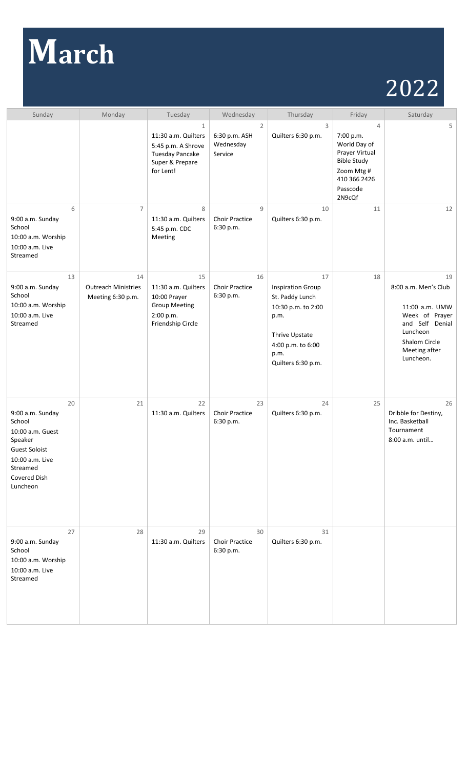# **March**

# 2022

| Sunday                                                                                                                                             | Monday                                                | Tuesday                                                                                                             | Wednesday                                               | Thursday                                                                                                                                             | Friday                                                                                                                                  | Saturday                                                                                                                                     |
|----------------------------------------------------------------------------------------------------------------------------------------------------|-------------------------------------------------------|---------------------------------------------------------------------------------------------------------------------|---------------------------------------------------------|------------------------------------------------------------------------------------------------------------------------------------------------------|-----------------------------------------------------------------------------------------------------------------------------------------|----------------------------------------------------------------------------------------------------------------------------------------------|
|                                                                                                                                                    |                                                       | $\mathbf{1}$<br>11:30 a.m. Quilters<br>5:45 p.m. A Shrove<br><b>Tuesday Pancake</b><br>Super & Prepare<br>for Lent! | $\overline{2}$<br>6:30 p.m. ASH<br>Wednesday<br>Service | 3<br>Quilters 6:30 p.m.                                                                                                                              | $\overline{4}$<br>7:00 p.m.<br>World Day of<br>Prayer Virtual<br><b>Bible Study</b><br>Zoom Mtg #<br>410 366 2426<br>Passcode<br>2N9cQf | 5                                                                                                                                            |
| 6<br>9:00 a.m. Sunday<br>School<br>10:00 a.m. Worship<br>10:00 a.m. Live<br>Streamed                                                               | $\overline{7}$                                        | 8<br>11:30 a.m. Quilters<br>5:45 p.m. CDC<br>Meeting                                                                | 9<br><b>Choir Practice</b><br>6:30 p.m.                 | 10<br>Quilters 6:30 p.m.                                                                                                                             | 11                                                                                                                                      | 12                                                                                                                                           |
| 13<br>9:00 a.m. Sunday<br>School<br>10:00 a.m. Worship<br>10:00 a.m. Live<br>Streamed                                                              | 14<br><b>Outreach Ministries</b><br>Meeting 6:30 p.m. | 15<br>11:30 a.m. Quilters<br>10:00 Prayer<br><b>Group Meeting</b><br>2:00 p.m.<br>Friendship Circle                 | 16<br><b>Choir Practice</b><br>6:30 p.m.                | 17<br><b>Inspiration Group</b><br>St. Paddy Lunch<br>10:30 p.m. to 2:00<br>p.m.<br>Thrive Upstate<br>4:00 p.m. to 6:00<br>p.m.<br>Quilters 6:30 p.m. | 18                                                                                                                                      | 19<br>8:00 a.m. Men's Club<br>11:00 a.m. UMW<br>Week of Prayer<br>and Self Denial<br>Luncheon<br>Shalom Circle<br>Meeting after<br>Luncheon. |
| 20<br>9:00 a.m. Sunday<br>School<br>10:00 a.m. Guest<br>Speaker<br><b>Guest Soloist</b><br>10:00 a.m. Live<br>Streamed<br>Covered Dish<br>Luncheon | 21                                                    | 22<br>11:30 a.m. Quilters                                                                                           | 23<br><b>Choir Practice</b><br>6:30 p.m.                | 24<br>Quilters 6:30 p.m.                                                                                                                             | 25                                                                                                                                      | 26<br>Dribble for Destiny,<br>Inc. Basketball<br>Tournament<br>8:00 a.m. until                                                               |
| 27<br>9:00 a.m. Sunday<br>School<br>10:00 a.m. Worship<br>10:00 a.m. Live<br>Streamed                                                              | 28                                                    | 29<br>11:30 a.m. Quilters                                                                                           | 30<br><b>Choir Practice</b><br>6:30 p.m.                | 31<br>Quilters 6:30 p.m.                                                                                                                             |                                                                                                                                         |                                                                                                                                              |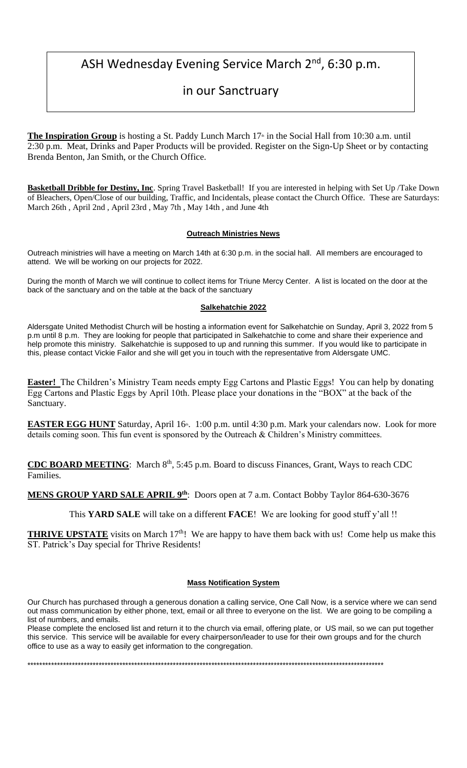## ASH Wednesday Evening Service March 2<sup>nd</sup>, 6:30 p.m.

# in our Sanctruary

**The Inspiration Group** is hosting a St. Paddy Lunch March 17<sup>th</sup> in the Social Hall from 10:30 a.m. until 2:30 p.m. Meat, Drinks and Paper Products will be provided. Register on the Sign-Up Sheet or by contacting Brenda Benton, Jan Smith, or the Church Office.

**Basketball Dribble for Destiny, Inc**. Spring Travel Basketball! If you are interested in helping with Set Up /Take Down of Bleachers, Open/Close of our building, Traffic, and Incidentals, please contact the Church Office. These are Saturdays: March 26th , April 2nd , April 23rd , May 7th , May 14th , and June 4th

#### **Outreach Ministries News**

Outreach ministries will have a meeting on March 14th at 6:30 p.m. in the social hall. All members are encouraged to attend. We will be working on our projects for 2022.

During the month of March we will continue to collect items for Triune Mercy Center. A list is located on the door at the back of the sanctuary and on the table at the back of the sanctuary

#### **Salkehatchie 2022**

Aldersgate United Methodist Church will be hosting a information event for Salkehatchie on Sunday, April 3, 2022 from 5 p.m until 8 p.m. They are looking for people that participated in Salkehatchie to come and share their experience and help promote this ministry. Salkehatchie is supposed to up and running this summer. If you would like to participate in this, please contact Vickie Failor and she will get you in touch with the representative from Aldersgate UMC.

**Easter!** The Children's Ministry Team needs empty Egg Cartons and Plastic Eggs! You can help by donating Egg Cartons and Plastic Eggs by April 10th. Please place your donations in the "BOX" at the back of the Sanctuary.

EASTER EGG HUNT Saturday, April 16<sup>th</sup>. 1:00 p.m. until 4:30 p.m. Mark your calendars now. Look for more details coming soon. This fun event is sponsored by the Outreach & Children's Ministry committees.

**CDC BOARD MEETING:** March 8<sup>th</sup>, 5:45 p.m. Board to discuss Finances, Grant, Ways to reach CDC Families.

**MENS GROUP YARD SALE APRIL 9th**: Doors open at 7 a.m. Contact Bobby Taylor 864-630-3676

This **YARD SALE** will take on a different **FACE**! We are looking for good stuff y'all !!

**THRIVE UPSTATE** visits on March 17<sup>th</sup>! We are happy to have them back with us! Come help us make this ST. Patrick's Day special for Thrive Residents!

#### **Mass Notification System**

Our Church has purchased through a generous donation a calling service, One Call Now, is a service where we can send out mass communication by either phone, text, email or all three to everyone on the list. We are going to be compiling a list of numbers, and emails.

Please complete the enclosed list and return it to the church via email, offering plate, or US mail, so we can put together this service. This service will be available for every chairperson/leader to use for their own groups and for the church office to use as a way to easily get information to the congregation.

\*\*\*\*\*\*\*\*\*\*\*\*\*\*\*\*\*\*\*\*\*\*\*\*\*\*\*\*\*\*\*\*\*\*\*\*\*\*\*\*\*\*\*\*\*\*\*\*\*\*\*\*\*\*\*\*\*\*\*\*\*\*\*\*\*\*\*\*\*\*\*\*\*\*\*\*\*\*\*\*\*\*\*\*\*\*\*\*\*\*\*\*\*\*\*\*\*\*\*\*\*\*\*\*\*\*\*\*\*\*\*\*\*\*\*\*\*\*\*\*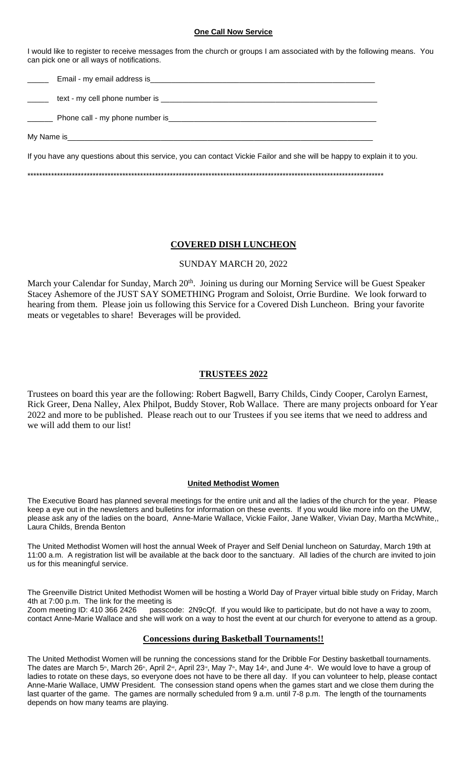#### **One Call Now Service**

I would like to register to receive messages from the church or groups I am associated with by the following means. You can pick one or all ways of notifications.

| If you have any questions about this service, you can contact Vickie Failor and she will be happy to explain it to you. |  |
|-------------------------------------------------------------------------------------------------------------------------|--|
|                                                                                                                         |  |

#### **COVERED DISH LUNCHEON**

#### SUNDAY MARCH 20, 2022

March your Calendar for Sunday, March 20<sup>th</sup>. Joining us during our Morning Service will be Guest Speaker Stacey Ashemore of the JUST SAY SOMETHING Program and Soloist, Orrie Burdine. We look forward to hearing from them. Please join us following this Service for a Covered Dish Luncheon. Bring your favorite meats or vegetables to share! Beverages will be provided.

#### **TRUSTEES 2022**

Trustees on board this year are the following: Robert Bagwell, Barry Childs, Cindy Cooper, Carolyn Earnest, Rick Greer, Dena Nalley, Alex Philpot, Buddy Stover, Rob Wallace. There are many projects onboard for Year 2022 and more to be published. Please reach out to our Trustees if you see items that we need to address and we will add them to our list!

#### **United Methodist Women**

The Executive Board has planned several meetings for the entire unit and all the ladies of the church for the year. Please keep a eye out in the newsletters and bulletins for information on these events. If you would like more info on the UMW, please ask any of the ladies on the board, Anne-Marie Wallace, Vickie Failor, Jane Walker, Vivian Day, Martha McWhite,, Laura Childs, Brenda Benton

The United Methodist Women will host the annual Week of Prayer and Self Denial luncheon on Saturday, March 19th at 11:00 a.m. A registration list will be available at the back door to the sanctuary. All ladies of the church are invited to join us for this meaningful service.

The Greenville District United Methodist Women will be hosting a World Day of Prayer virtual bible study on Friday, March 4th at 7:00 p.m. The link for the meeting is<br>Zoom meeting ID: 410 366 2426 passco

passcode: 2N9cQf. If you would like to participate, but do not have a way to zoom, contact Anne-Marie Wallace and she will work on a way to host the event at our church for everyone to attend as a group.

#### **Concessions during Basketball Tournaments!!**

The United Methodist Women will be running the concessions stand for the Dribble For Destiny basketball tournaments. The dates are March 5<sup>n</sup>, March 26<sup>n</sup>, April 2<sup>nd</sup>, April 23<sup>rd</sup>, May 7<sup>n</sup>, May 14<sup>n</sup>, and June 4<sup>n</sup>. We would love to have a group of ladies to rotate on these days, so everyone does not have to be there all day. If you can volunteer to help, please contact Anne-Marie Wallace, UMW President. The consession stand opens when the games start and we close them during the last quarter of the game. The games are normally scheduled from 9 a.m. until 7-8 p.m. The length of the tournaments depends on how many teams are playing.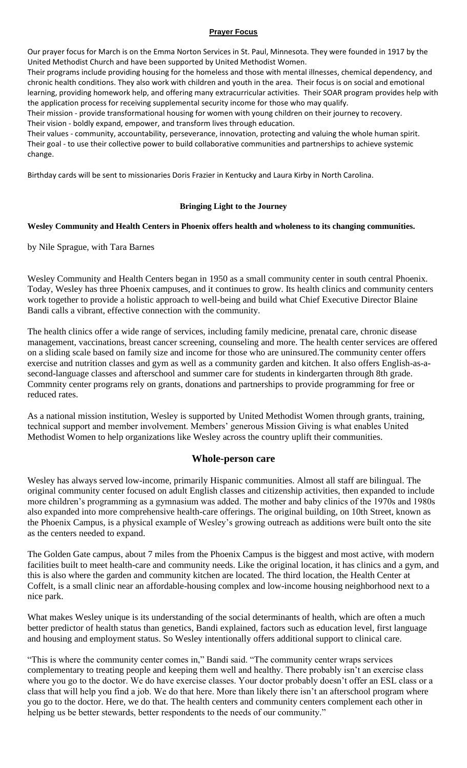#### **Prayer Focus**

Our prayer focus for March is on the Emma Norton Services in St. Paul, Minnesota. They were founded in 1917 by the United Methodist Church and have been supported by United Methodist Women.

Their programs include providing housing for the homeless and those with mental illnesses, chemical dependency, and chronic health conditions. They also work with children and youth in the area. Their focus is on social and emotional learning, providing homework help, and offering many extracurricular activities. Their SOAR program provides help with the application process for receiving supplemental security income for those who may qualify.

Their mission - provide transformational housing for women with young children on their journey to recovery. Their vision - boldly expand, empower, and transform lives through education.

Their values - community, accountability, perseverance, innovation, protecting and valuing the whole human spirit. Their goal - to use their collective power to build collaborative communities and partnerships to achieve systemic change.

Birthday cards will be sent to missionaries Doris Frazier in Kentucky and Laura Kirby in North Carolina.

#### **Bringing Light to the Journey**

#### **Wesley Community and Health Centers in Phoenix offers health and wholeness to its changing communities.**

by Nile Sprague, with Tara Barnes

Wesley Community and Health Centers began in 1950 as a small community center in south central Phoenix. Today, Wesley has three Phoenix campuses, and it continues to grow. Its health clinics and community centers work together to provide a holistic approach to well-being and build what Chief Executive Director Blaine Bandi calls a vibrant, effective connection with the community.

The health clinics offer a wide range of services, including family medicine, prenatal care, chronic disease management, vaccinations, breast cancer screening, counseling and more. The health center services are offered on a sliding scale based on family size and income for those who are uninsured.The community center offers exercise and nutrition classes and gym as well as a community garden and kitchen. It also offers English-as-asecond-language classes and afterschool and summer care for students in kindergarten through 8th grade. Commnity center programs rely on grants, donations and partnerships to provide programming for free or reduced rates.

As a national mission institution, Wesley is supported by United Methodist Women through grants, training, technical support and member involvement. Members' generous Mission Giving is what enables United Methodist Women to help organizations like Wesley across the country uplift their communities.

#### **Whole-person care**

Wesley has always served low-income, primarily Hispanic communities. Almost all staff are bilingual. The original community center focused on adult English classes and citizenship activities, then expanded to include more children's programming as a gymnasium was added. The mother and baby clinics of the 1970s and 1980s also expanded into more comprehensive health-care offerings. The original building, on 10th Street, known as the Phoenix Campus, is a physical example of Wesley's growing outreach as additions were built onto the site as the centers needed to expand.

The Golden Gate campus, about 7 miles from the Phoenix Campus is the biggest and most active, with modern facilities built to meet health-care and community needs. Like the original location, it has clinics and a gym, and this is also where the garden and community kitchen are located. The third location, the Health Center at Coffelt, is a small clinic near an affordable-housing complex and low-income housing neighborhood next to a nice park.

What makes Wesley unique is its understanding of the social determinants of health, which are often a much better predictor of health status than genetics, Bandi explained, factors such as education level, first language and housing and employment status. So Wesley intentionally offers additional support to clinical care.

"This is where the community center comes in," Bandi said. "The community center wraps services complementary to treating people and keeping them well and healthy. There probably isn't an exercise class where you go to the doctor. We do have exercise classes. Your doctor probably doesn't offer an ESL class or a class that will help you find a job. We do that here. More than likely there isn't an afterschool program where you go to the doctor. Here, we do that. The health centers and community centers complement each other in helping us be better stewards, better respondents to the needs of our community."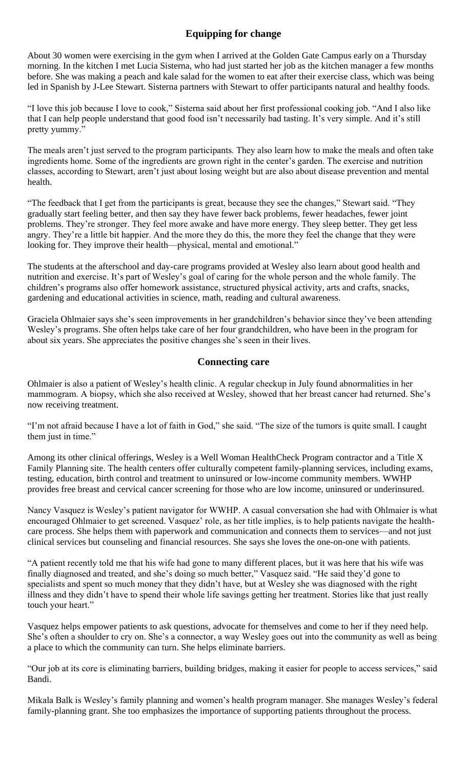#### **Equipping for change**

About 30 women were exercising in the gym when I arrived at the Golden Gate Campus early on a Thursday morning. In the kitchen I met Lucia Sisterna, who had just started her job as the kitchen manager a few months before. She was making a peach and kale salad for the women to eat after their exercise class, which was being led in Spanish by J-Lee Stewart. Sisterna partners with Stewart to offer participants natural and healthy foods.

"I love this job because I love to cook," Sisterna said about her first professional cooking job. "And I also like that I can help people understand that good food isn't necessarily bad tasting. It's very simple. And it's still pretty yummy."

The meals aren't just served to the program participants. They also learn how to make the meals and often take ingredients home. Some of the ingredients are grown right in the center's garden. The exercise and nutrition classes, according to Stewart, aren't just about losing weight but are also about disease prevention and mental health.

"The feedback that I get from the participants is great, because they see the changes," Stewart said. "They gradually start feeling better, and then say they have fewer back problems, fewer headaches, fewer joint problems. They're stronger. They feel more awake and have more energy. They sleep better. They get less angry. They're a little bit happier. And the more they do this, the more they feel the change that they were looking for. They improve their health—physical, mental and emotional."

The students at the afterschool and day-care programs provided at Wesley also learn about good health and nutrition and exercise. It's part of Wesley's goal of caring for the whole person and the whole family. The children's programs also offer homework assistance, structured physical activity, arts and crafts, snacks, gardening and educational activities in science, math, reading and cultural awareness.

Graciela Ohlmaier says she's seen improvements in her grandchildren's behavior since they've been attending Wesley's programs. She often helps take care of her four grandchildren, who have been in the program for about six years. She appreciates the positive changes she's seen in their lives.

#### **Connecting care**

Ohlmaier is also a patient of Wesley's health clinic. A regular checkup in July found abnormalities in her mammogram. A biopsy, which she also received at Wesley, showed that her breast cancer had returned. She's now receiving treatment.

"I'm not afraid because I have a lot of faith in God," she said. "The size of the tumors is quite small. I caught them just in time."

Among its other clinical offerings, Wesley is a Well Woman HealthCheck Program contractor and a Title X Family Planning site. The health centers offer culturally competent family-planning services, including exams, testing, education, birth control and treatment to uninsured or low-income community members. WWHP provides free breast and cervical cancer screening for those who are low income, uninsured or underinsured.

Nancy Vasquez is Wesley's patient navigator for WWHP. A casual conversation she had with Ohlmaier is what encouraged Ohlmaier to get screened. Vasquez' role, as her title implies, is to help patients navigate the healthcare process. She helps them with paperwork and communication and connects them to services—and not just clinical services but counseling and financial resources. She says she loves the one-on-one with patients.

"A patient recently told me that his wife had gone to many different places, but it was here that his wife was finally diagnosed and treated, and she's doing so much better," Vasquez said. "He said they'd gone to specialists and spent so much money that they didn't have, but at Wesley she was diagnosed with the right illness and they didn't have to spend their whole life savings getting her treatment. Stories like that just really touch your heart."

Vasquez helps empower patients to ask questions, advocate for themselves and come to her if they need help. She's often a shoulder to cry on. She's a connector, a way Wesley goes out into the community as well as being a place to which the community can turn. She helps eliminate barriers.

"Our job at its core is eliminating barriers, building bridges, making it easier for people to access services," said Bandi.

Mikala Balk is Wesley's family planning and women's health program manager. She manages Wesley's federal family-planning grant. She too emphasizes the importance of supporting patients throughout the process.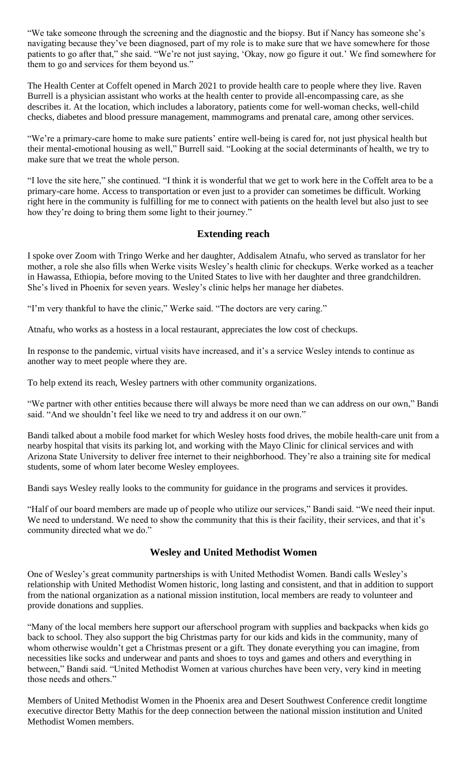"We take someone through the screening and the diagnostic and the biopsy. But if Nancy has someone she's navigating because they've been diagnosed, part of my role is to make sure that we have somewhere for those patients to go after that," she said. "We're not just saying, 'Okay, now go figure it out.' We find somewhere for them to go and services for them beyond us."

The Health Center at Coffelt opened in March 2021 to provide health care to people where they live. Raven Burrell is a physician assistant who works at the health center to provide all-encompassing care, as she describes it. At the location, which includes a laboratory, patients come for well-woman checks, well-child checks, diabetes and blood pressure management, mammograms and prenatal care, among other services.

"We're a primary-care home to make sure patients' entire well-being is cared for, not just physical health but their mental-emotional housing as well," Burrell said. "Looking at the social determinants of health, we try to make sure that we treat the whole person.

"I love the site here," she continued. "I think it is wonderful that we get to work here in the Coffelt area to be a primary-care home. Access to transportation or even just to a provider can sometimes be difficult. Working right here in the community is fulfilling for me to connect with patients on the health level but also just to see how they're doing to bring them some light to their journey."

#### **Extending reach**

I spoke over Zoom with Tringo Werke and her daughter, Addisalem Atnafu, who served as translator for her mother, a role she also fills when Werke visits Wesley's health clinic for checkups. Werke worked as a teacher in Hawassa, Ethiopia, before moving to the United States to live with her daughter and three grandchildren. She's lived in Phoenix for seven years. Wesley's clinic helps her manage her diabetes.

"I'm very thankful to have the clinic," Werke said. "The doctors are very caring."

Atnafu, who works as a hostess in a local restaurant, appreciates the low cost of checkups.

In response to the pandemic, virtual visits have increased, and it's a service Wesley intends to continue as another way to meet people where they are.

To help extend its reach, Wesley partners with other community organizations.

"We partner with other entities because there will always be more need than we can address on our own," Bandi said. "And we shouldn't feel like we need to try and address it on our own."

Bandi talked about a mobile food market for which Wesley hosts food drives, the mobile health-care unit from a nearby hospital that visits its parking lot, and working with the Mayo Clinic for clinical services and with Arizona State University to deliver free internet to their neighborhood. They're also a training site for medical students, some of whom later become Wesley employees.

Bandi says Wesley really looks to the community for guidance in the programs and services it provides.

"Half of our board members are made up of people who utilize our services," Bandi said. "We need their input. We need to understand. We need to show the community that this is their facility, their services, and that it's community directed what we do."

#### **Wesley and United Methodist Women**

One of Wesley's great community partnerships is with United Methodist Women. Bandi calls Wesley's relationship with United Methodist Women historic, long lasting and consistent, and that in addition to support from the national organization as a national mission institution, local members are ready to volunteer and provide donations and supplies.

"Many of the local members here support our afterschool program with supplies and backpacks when kids go back to school. They also support the big Christmas party for our kids and kids in the community, many of whom otherwise wouldn't get a Christmas present or a gift. They donate everything you can imagine, from necessities like socks and underwear and pants and shoes to toys and games and others and everything in between," Bandi said. "United Methodist Women at various churches have been very, very kind in meeting those needs and others."

Members of United Methodist Women in the Phoenix area and Desert Southwest Conference credit longtime executive director Betty Mathis for the deep connection between the national mission institution and United Methodist Women members.